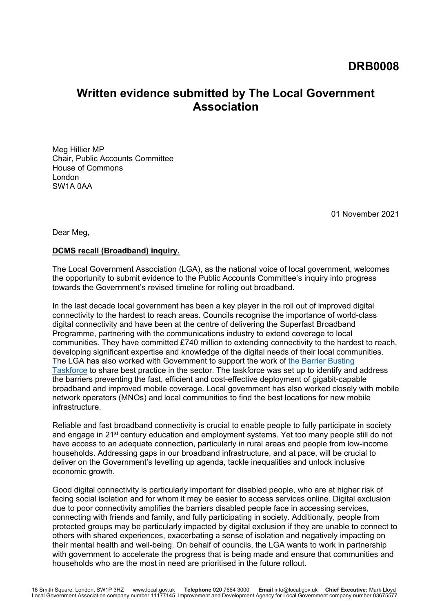# **Written evidence submitted by The Local Government Association**

Meg Hillier MP Chair, Public Accounts Committee House of Commons London SW1A 0AA

01 November 2021

Dear Meg,

#### **DCMS recall (Broadband) inquiry.**

The Local Government Association (LGA), as the national voice of local government, welcomes the opportunity to submit evidence to the Public Accounts Committee's inquiry into progress towards the Government's revised timeline for rolling out broadband.

In the last decade local government has been a key player in the roll out of improved digital connectivity to the hardest to reach areas. Councils recognise the importance of world-class digital connectivity and have been at the centre of delivering the Superfast Broadband Programme, partnering with the communications industry to extend coverage to local communities. They have committed £740 million to extending connectivity to the hardest to reach, developing significant expertise and knowledge of the digital needs of their local com[m](https://www.gov.uk/government/publications/barrier-busting-task-force-next-steps/barrier-busting-task-force-next-steps)unities. The LGA has also worked with Government to support the work of [the](https://www.gov.uk/government/publications/barrier-busting-task-force-next-steps/barrier-busting-task-force-next-steps) [Barrier](https://www.gov.uk/government/publications/barrier-busting-task-force-next-steps/barrier-busting-task-force-next-steps) [Busting](https://www.gov.uk/government/publications/barrier-busting-task-force-next-steps/barrier-busting-task-force-next-steps) [Taskforce](https://www.gov.uk/government/publications/barrier-busting-task-force-next-steps/barrier-busting-task-force-next-steps) to share best practice in the sector. The taskforce was set up to identify and address the barriers preventing the fast, efficient and cost-effective deployment of gigabit-capable broadband and improved mobile coverage. Local government has also worked closely with mobile network operators (MNOs) and local communities to find the best locations for new mobile infrastructure.

Reliable and fast broadband connectivity is crucial to enable people to fully participate in society and engage in 21<sup>st</sup> century education and employment systems. Yet too many people still do not have access to an adequate connection, particularly in rural areas and people from low-income households. Addressing gaps in our broadband infrastructure, and at pace, will be crucial to deliver on the Government's levelling up agenda, tackle inequalities and unlock inclusive economic growth.

Good digital connectivity is particularly important for disabled people, who are at higher risk of facing social isolation and for whom it may be easier to access services online. Digital exclusion due to poor connectivity amplifies the barriers disabled people face in accessing services, connecting with friends and family, and fully participating in society. Additionally, people from protected groups may be particularly impacted by digital exclusion if they are unable to connect to others with shared experiences, exacerbating a sense of isolation and negatively impacting on their mental health and well-being. On behalf of councils, the LGA wants to work in partnership with government to accelerate the progress that is being made and ensure that communities and households who are the most in need are prioritised in the future rollout.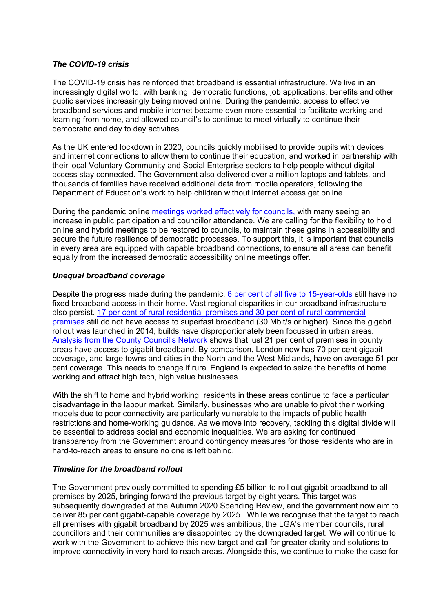## *The COVID-19 crisis*

The COVID-19 crisis has reinforced that broadband is essential infrastructure. We live in an increasingly digital world, with banking, democratic functions, job applications, benefits and other public services increasingly being moved online. During the pandemic, access to effective broadband services and mobile internet became even more essential to facilitate working and learning from home, and allowed council's to continue to meet virtually to continue their democratic and day to day activities.

As the UK entered lockdown in 2020, councils quickly mobilised to provide pupils with devices and internet connections to allow them to continue their education, and worked in partnership with their local Voluntary Community and Social Enterprise sectors to help people without digital access stay connected. The Government also delivered over a million laptops and tablets, and thousands of families have received additional data from mobile operators, following the Department of Education's work to help children without internet access get online.

During the pandemic online [meetings](https://www.local.gov.uk/parliament/briefings-and-responses/lga-response-ministry-housing-communities-and-local-government) [worked](https://www.local.gov.uk/parliament/briefings-and-responses/lga-response-ministry-housing-communities-and-local-government) [effectively](https://www.local.gov.uk/parliament/briefings-and-responses/lga-response-ministry-housing-communities-and-local-government) [for](https://www.local.gov.uk/parliament/briefings-and-responses/lga-response-ministry-housing-communities-and-local-government) [councils,](https://www.local.gov.uk/parliament/briefings-and-responses/lga-response-ministry-housing-communities-and-local-government) with many seeing an increase in public participation and councillor attendance. We are calling for the flexibility to hold online and hybrid meetings to be restored to councils, to maintain these gains in accessibility and secure the future resilience of democratic processes. To support this, it is important that councils in every area are equipped with capable broadband connections, to ensure all areas can benefit equally from the increased democratic accessibility online meetings offer.

# *Unequal broadband coverage*

Despite the progress made during the pandemic, [6](https://www.ofcom.org.uk/about-ofcom/latest/media/media-releases/2021/digital-divide-narrowed-but-around-1.5m-homes-offline) [per](https://www.ofcom.org.uk/about-ofcom/latest/media/media-releases/2021/digital-divide-narrowed-but-around-1.5m-homes-offline) [cent](https://www.ofcom.org.uk/about-ofcom/latest/media/media-releases/2021/digital-divide-narrowed-but-around-1.5m-homes-offline) [of](https://www.ofcom.org.uk/about-ofcom/latest/media/media-releases/2021/digital-divide-narrowed-but-around-1.5m-homes-offline) [all](https://www.ofcom.org.uk/about-ofcom/latest/media/media-releases/2021/digital-divide-narrowed-but-around-1.5m-homes-offline) [five](https://www.ofcom.org.uk/about-ofcom/latest/media/media-releases/2021/digital-divide-narrowed-but-around-1.5m-homes-offline) [to](https://www.ofcom.org.uk/about-ofcom/latest/media/media-releases/2021/digital-divide-narrowed-but-around-1.5m-homes-offline) [15-year-olds](https://www.ofcom.org.uk/about-ofcom/latest/media/media-releases/2021/digital-divide-narrowed-but-around-1.5m-homes-offline) still have no fixed broadband access in their home. Vast regional disparities in our broadband infrastructure also persist. [17](https://www.ofcom.org.uk/research-and-data/multi-sector-research/infrastructure-research/connected-nations-2020/main-report) [per](https://www.ofcom.org.uk/research-and-data/multi-sector-research/infrastructure-research/connected-nations-2020/main-report) [cent](https://www.ofcom.org.uk/research-and-data/multi-sector-research/infrastructure-research/connected-nations-2020/main-report) [of](https://www.ofcom.org.uk/research-and-data/multi-sector-research/infrastructure-research/connected-nations-2020/main-report) [rural](https://www.ofcom.org.uk/research-and-data/multi-sector-research/infrastructure-research/connected-nations-2020/main-report) [residential](https://www.ofcom.org.uk/research-and-data/multi-sector-research/infrastructure-research/connected-nations-2020/main-report) [premises](https://www.ofcom.org.uk/research-and-data/multi-sector-research/infrastructure-research/connected-nations-2020/main-report) [and](https://www.ofcom.org.uk/research-and-data/multi-sector-research/infrastructure-research/connected-nations-2020/main-report) [30](https://www.ofcom.org.uk/research-and-data/multi-sector-research/infrastructure-research/connected-nations-2020/main-report) [per](https://www.ofcom.org.uk/research-and-data/multi-sector-research/infrastructure-research/connected-nations-2020/main-report) [cent](https://www.ofcom.org.uk/research-and-data/multi-sector-research/infrastructure-research/connected-nations-2020/main-report) [of](https://www.ofcom.org.uk/research-and-data/multi-sector-research/infrastructure-research/connected-nations-2020/main-report) [rural](https://www.ofcom.org.uk/research-and-data/multi-sector-research/infrastructure-research/connected-nations-2020/main-report) [commercial](https://www.ofcom.org.uk/research-and-data/multi-sector-research/infrastructure-research/connected-nations-2020/main-report) [premises](https://www.ofcom.org.uk/research-and-data/multi-sector-research/infrastructure-research/connected-nations-2020/main-report) still do not have access to superfast broadband (30 Mbit/s or higher). Since the gigabit rollout was launched in 2014, builds have disproportionately been focussed in urban areas. [Analysis](https://www.countycouncilsnetwork.org.uk/mps-warn-that-counties-could-become-poor-relation-to-cities-in-gigabit-broadband-rollout-with-just-one-in-five-rural-properties-connected-so-far/) [from](https://www.countycouncilsnetwork.org.uk/mps-warn-that-counties-could-become-poor-relation-to-cities-in-gigabit-broadband-rollout-with-just-one-in-five-rural-properties-connected-so-far/) [the](https://www.countycouncilsnetwork.org.uk/mps-warn-that-counties-could-become-poor-relation-to-cities-in-gigabit-broadband-rollout-with-just-one-in-five-rural-properties-connected-so-far/) [County](https://www.countycouncilsnetwork.org.uk/mps-warn-that-counties-could-become-poor-relation-to-cities-in-gigabit-broadband-rollout-with-just-one-in-five-rural-properties-connected-so-far/) [Council's](https://www.countycouncilsnetwork.org.uk/mps-warn-that-counties-could-become-poor-relation-to-cities-in-gigabit-broadband-rollout-with-just-one-in-five-rural-properties-connected-so-far/) [Network](https://www.countycouncilsnetwork.org.uk/mps-warn-that-counties-could-become-poor-relation-to-cities-in-gigabit-broadband-rollout-with-just-one-in-five-rural-properties-connected-so-far/) shows that just 21 per cent of premises in county areas have access to gigabit broadband. By comparison, London now has 70 per cent gigabit coverage, and large towns and cities in the North and the West Midlands, have on average 51 per cent coverage. This needs to change if rural England is expected to seize the benefits of home working and attract high tech, high value businesses.

With the shift to home and hybrid working, residents in these areas continue to face a particular disadvantage in the labour market. Similarly, businesses who are unable to pivot their working models due to poor connectivity are particularly vulnerable to the impacts of public health restrictions and home-working guidance. As we move into recovery, tackling this digital divide will be essential to address social and economic inequalities. We are asking for continued transparency from the Government around contingency measures for those residents who are in hard-to-reach areas to ensure no one is left behind.

#### *Timeline for the broadband rollout*

The Government previously committed to spending £5 billion to roll out gigabit broadband to all premises by 2025, bringing forward the previous target by eight years. This target was subsequently downgraded at the Autumn 2020 Spending Review, and the government now aim to deliver 85 per cent gigabit-capable coverage by 2025. While we recognise that the target to reach all premises with gigabit broadband by 2025 was ambitious, the LGA's member councils, rural councillors and their communities are disappointed by the downgraded target. We will continue to work with the Government to achieve this new target and call for greater clarity and solutions to improve connectivity in very hard to reach areas. Alongside this, we continue to make the case for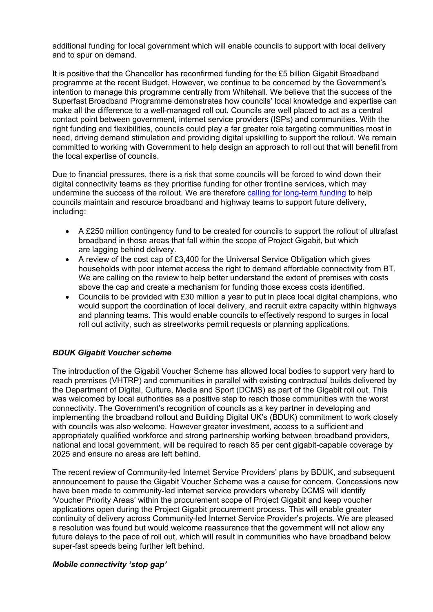additional funding for local government which will enable councils to support with local delivery and to spur on demand.

It is positive that the Chancellor has reconfirmed funding for the £5 billion Gigabit Broadband programme at the recent Budget. However, we continue to be concerned by the Government's intention to manage this programme centrally from Whitehall. We believe that the success of the Superfast Broadband Programme demonstrates how councils' local knowledge and expertise can make all the difference to a well-managed roll out. Councils are well placed to act as a central contact point between government, internet service providers (ISPs) and communities. With the right funding and flexibilities, councils could play a far greater role targeting communities most in need, driving demand stimulation and providing digital upskilling to support the rollout. We remain committed to working with Government to help design an approach to roll out that will benefit from the local expertise of councils.

Due to financial pressures, there is a risk that some councils will be forced to wind down their digital connectivity teams as they prioritise funding for other frontline services, which may undermine the success of the rollout. We are therefore [calling](https://www.local.gov.uk/publications/spending-review-2021-submission) [for](https://www.local.gov.uk/publications/spending-review-2021-submission) [long-term](https://www.local.gov.uk/publications/spending-review-2021-submission) [funding](https://www.local.gov.uk/publications/spending-review-2021-submission) to help councils maintain and resource broadband and highway teams to support future delivery, including:

- A £250 million contingency fund to be created for councils to support the rollout of ultrafast broadband in those areas that fall within the scope of Project Gigabit, but which are lagging behind delivery.
- A review of the cost cap of  $£3,400$  for the Universal Service Obligation which gives households with poor internet access the right to demand affordable connectivity from BT. We are calling on the review to help better understand the extent of premises with costs above the cap and create a mechanism for funding those excess costs identified.
- Councils to be provided with £30 million a year to put in place local digital champions, who would support the coordination of local delivery, and recruit extra capacity within highways and planning teams. This would enable councils to effectively respond to surges in local roll out activity, such as streetworks permit requests or planning applications.

#### *BDUK Gigabit Voucher scheme*

The introduction of the Gigabit Voucher Scheme has allowed local bodies to support very hard to reach premises (VHTRP) and communities in parallel with existing contractual builds delivered by the Department of Digital, Culture, Media and Sport (DCMS) as part of the Gigabit roll out. This was welcomed by local authorities as a positive step to reach those communities with the worst connectivity. The Government's recognition of councils as a key partner in developing and implementing the broadband rollout and Building Digital UK's (BDUK) commitment to work closely with councils was also welcome. However greater investment, access to a sufficient and appropriately qualified workforce and strong partnership working between broadband providers, national and local government, will be required to reach 85 per cent gigabit-capable coverage by 2025 and ensure no areas are left behind.

The recent review of Community-led Internet Service Providers' plans by BDUK, and subsequent announcement to pause the Gigabit Voucher Scheme was a cause for concern. Concessions now have been made to community-led internet service providers whereby DCMS will identify 'Voucher Priority Areas' within the procurement scope of Project Gigabit and keep voucher applications open during the Project Gigabit procurement process. This will enable greater continuity of delivery across Community-led Internet Service Provider's projects. We are pleased a resolution was found but would welcome reassurance that the government will not allow any future delays to the pace of roll out, which will result in communities who have broadband below super-fast speeds being further left behind.

#### *Mobile connectivity 'stop gap'*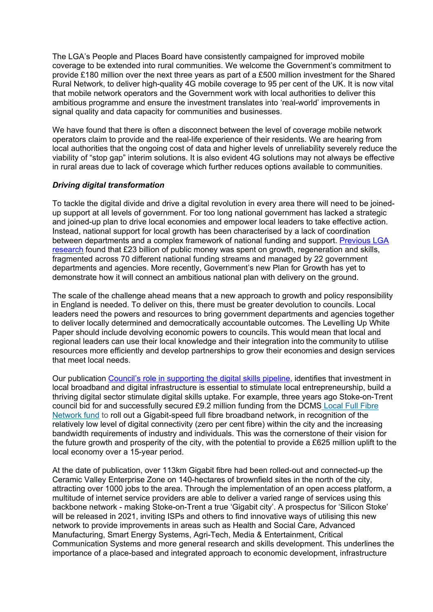The LGA's People and Places Board have consistently campaigned for improved mobile coverage to be extended into rural communities. We welcome the Government's commitment to provide £180 million over the next three years as part of a £500 million investment for the Shared Rural Network, to deliver high-quality 4G mobile coverage to 95 per cent of the UK. It is now vital that mobile network operators and the Government work with local authorities to deliver this ambitious programme and ensure the investment translates into 'real-world' improvements in signal quality and data capacity for communities and businesses.

We have found that there is often a disconnect between the level of coverage mobile network operators claim to provide and the real-life experience of their residents. We are hearing from local authorities that the ongoing cost of data and higher levels of unreliability severely reduce the viability of "stop gap" interim solutions. It is also evident 4G solutions may not always be effective in rural areas due to lack of coverage which further reduces options available to communities.

#### *Driving digital transformation*

To tackle the digital divide and drive a digital revolution in every area there will need to be joinedup support at all levels of government. For too long national government has lacked a strategic and joined-up plan to drive local economies and empower local leaders to take effective action. Instead, national support for local growth has been characterised by a lack of coordination between departments and a complex framework of national funding and support. [Previous](https://www.local.gov.uk/sites/default/files/documents/Is%20the%20grass%20greener%20-%20fragmented%20funding%202016-17.pdf) [LGA](https://www.local.gov.uk/sites/default/files/documents/Is%20the%20grass%20greener%20-%20fragmented%20funding%202016-17.pdf) [research](https://www.local.gov.uk/sites/default/files/documents/Is%20the%20grass%20greener%20-%20fragmented%20funding%202016-17.pdf) found that £23 billion of public money was spent on growth, regeneration and skills, fragmented across 70 different national funding streams and managed by 22 government departments and agencies. More recently, Government's new Plan for Growth has yet to demonstrate how it will connect an ambitious national plan with delivery on the ground.

The scale of the challenge ahead means that a new approach to growth and policy responsibility in England is needed. To deliver on this, there must be greater devolution to councils. Local leaders need the powers and resources to bring government departments and agencies together to deliver locally determined and democratically accountable outcomes. The Levelling Up White Paper should include devolving economic powers to councils. This would mean that local and regional leaders can use their local knowledge and their integration into the community to utilise resources more efficiently and develop partnerships to grow their economies and design services that meet local needs. 

Our publication [Council's](https://www.local.gov.uk/publications/councils-role-supporting-digital-skills-pipeline) [role](https://www.local.gov.uk/publications/councils-role-supporting-digital-skills-pipeline) [in](https://www.local.gov.uk/publications/councils-role-supporting-digital-skills-pipeline) [supporting](https://www.local.gov.uk/publications/councils-role-supporting-digital-skills-pipeline) [the](https://www.local.gov.uk/publications/councils-role-supporting-digital-skills-pipeline) [digital](https://www.local.gov.uk/publications/councils-role-supporting-digital-skills-pipeline) [skills](https://www.local.gov.uk/publications/councils-role-supporting-digital-skills-pipeline) [pipeline](https://www.local.gov.uk/publications/councils-role-supporting-digital-skills-pipeline), identifies that investment in local broadband and digital infrastructure is essential to stimulate local entrepreneurship, build a thriving digital sector stimulate digital skills uptake. For example, three years ago Stoke-on-Trent council bid for and successfully secured £9.2 million funding from the DCMS [Local](https://www.silicon.co.uk/workspace/chancellor-fibre-schemes-spring-statement-229869) [Full](https://www.silicon.co.uk/workspace/chancellor-fibre-schemes-spring-statement-229869) [Fibre](https://www.silicon.co.uk/workspace/chancellor-fibre-schemes-spring-statement-229869) [Network](https://www.silicon.co.uk/workspace/chancellor-fibre-schemes-spring-statement-229869) [fund](https://www.silicon.co.uk/workspace/chancellor-fibre-schemes-spring-statement-229869) to roll out a Gigabit-speed full fibre broadband network, in recognition of the relatively low level of digital connectivity (zero per cent fibre) within the city and the increasing bandwidth requirements of industry and individuals. This was the cornerstone of their vision for the future growth and prosperity of the city, with the potential to provide a £625 million uplift to the local economy over a 15-year period.

At the date of publication, over 113km Gigabit fibre had been rolled-out and connected-up the Ceramic Valley Enterprise Zone on 140-hectares of brownfield sites in the north of the city, attracting over 1000 jobs to the area. Through the implementation of an open access platform, a multitude of internet service providers are able to deliver a varied range of services using this backbone network - making Stoke-on-Trent a true 'Gigabit city'. A prospectus for 'Silicon Stoke' will be released in 2021, inviting ISPs and others to find innovative ways of utilising this new network to provide improvements in areas such as Health and Social Care, Advanced Manufacturing, Smart Energy Systems, Agri-Tech, Media & Entertainment, Critical Communication Systems and more general research and skills development. This underlines the importance of a place-based and integrated approach to economic development, infrastructure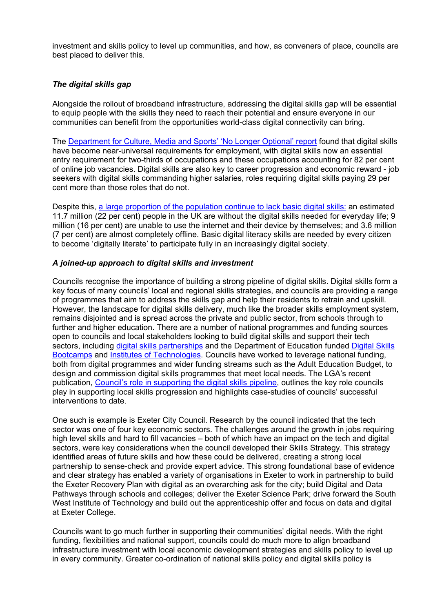investment and skills policy to level up communities, and how, as conveners of place, councils are best placed to deliver this.

## *The digital skills gap*

Alongside the rollout of broadband infrastructure, addressing the digital skills gap will be essential to equip people with the skills they need to reach their potential and ensure everyone in our communities can benefit from the opportunities world-class digital connectivity can bring.

The [Department](https://assets.publishing.service.gov.uk/government/uploads/system/uploads/attachment_data/file/807830/No_Longer_Optional_Employer_Demand_for_Digital_Skills.pdf) [for](https://assets.publishing.service.gov.uk/government/uploads/system/uploads/attachment_data/file/807830/No_Longer_Optional_Employer_Demand_for_Digital_Skills.pdf) [Culture,](https://assets.publishing.service.gov.uk/government/uploads/system/uploads/attachment_data/file/807830/No_Longer_Optional_Employer_Demand_for_Digital_Skills.pdf) [Media](https://assets.publishing.service.gov.uk/government/uploads/system/uploads/attachment_data/file/807830/No_Longer_Optional_Employer_Demand_for_Digital_Skills.pdf) [and](https://assets.publishing.service.gov.uk/government/uploads/system/uploads/attachment_data/file/807830/No_Longer_Optional_Employer_Demand_for_Digital_Skills.pdf) [Sports'](https://assets.publishing.service.gov.uk/government/uploads/system/uploads/attachment_data/file/807830/No_Longer_Optional_Employer_Demand_for_Digital_Skills.pdf) ['No](https://assets.publishing.service.gov.uk/government/uploads/system/uploads/attachment_data/file/807830/No_Longer_Optional_Employer_Demand_for_Digital_Skills.pdf) [Longer](https://assets.publishing.service.gov.uk/government/uploads/system/uploads/attachment_data/file/807830/No_Longer_Optional_Employer_Demand_for_Digital_Skills.pdf) [Optional'](https://assets.publishing.service.gov.uk/government/uploads/system/uploads/attachment_data/file/807830/No_Longer_Optional_Employer_Demand_for_Digital_Skills.pdf) [report](https://assets.publishing.service.gov.uk/government/uploads/system/uploads/attachment_data/file/807830/No_Longer_Optional_Employer_Demand_for_Digital_Skills.pdf) found that digital skills have become near-universal requirements for employment, with digital skills now an essential entry requirement for two-thirds of occupations and these occupations accounting for 82 per cent of online job vacancies. Digital skills are also key to career progression and economic reward - job seekers with digital skills commanding higher salaries, roles requiring digital skills paying 29 per cent more than those roles that do not.

Despite this, [a](https://www.lloydsbank.com/banking-with-us/whats-happening/consumer-digital-index.html) [large](https://www.lloydsbank.com/banking-with-us/whats-happening/consumer-digital-index.html) [proportion](https://www.lloydsbank.com/banking-with-us/whats-happening/consumer-digital-index.html) [of](https://www.lloydsbank.com/banking-with-us/whats-happening/consumer-digital-index.html) [the](https://www.lloydsbank.com/banking-with-us/whats-happening/consumer-digital-index.html) [population](https://www.lloydsbank.com/banking-with-us/whats-happening/consumer-digital-index.html) [continue](https://www.lloydsbank.com/banking-with-us/whats-happening/consumer-digital-index.html) [to](https://www.lloydsbank.com/banking-with-us/whats-happening/consumer-digital-index.html) [lack](https://www.lloydsbank.com/banking-with-us/whats-happening/consumer-digital-index.html) [basic](https://www.lloydsbank.com/banking-with-us/whats-happening/consumer-digital-index.html) [digital](https://www.lloydsbank.com/banking-with-us/whats-happening/consumer-digital-index.html) [skills:](https://www.lloydsbank.com/banking-with-us/whats-happening/consumer-digital-index.html) an estimated 11.7 million (22 per cent) people in the UK are without the digital skills needed for everyday life; 9 million (16 per cent) are unable to use the internet and their device by themselves; and 3.6 million (7 per cent) are almost completely offline. Basic digital literacy skills are needed by every citizen to become 'digitally literate' to participate fully in an increasingly digital society.

#### *A joined-up approach to digital skills and investment*

Councils recognise the importance of building a strong pipeline of digital skills. Digital skills form a key focus of many councils' local and regional skills strategies, and councils are providing a range of programmes that aim to address the skills gap and help their residents to retrain and upskill. However, the landscape for digital skills delivery, much like the broader skills employment system, remains disjointed and is spread across the private and public sector, from schools through to further and higher education. There are a number of national programmes and funding sources open to councils and local stakeholders looking to build digital skills and support their tech sectors, including [digital](https://www.gov.uk/guidance/digital-skills-partnership) [skills](https://www.gov.uk/guidance/digital-skills-partnership) [partnerships](https://www.gov.uk/guidance/digital-skills-partnership) and the Department of Education funded [Digital](https://www.gov.uk/guidance/national-skills-fund#skills-bootcamps) [Skills](https://www.gov.uk/guidance/national-skills-fund#skills-bootcamps) [Bootcamps](https://www.gov.uk/guidance/national-skills-fund#skills-bootcamps) and [Institutes](https://www.gov.uk/government/publications/institutes-of-technology--2/institutes-of-technology-details-of-providers-employers-and-specialisms) [of](https://www.gov.uk/government/publications/institutes-of-technology--2/institutes-of-technology-details-of-providers-employers-and-specialisms) [Technologies](https://www.gov.uk/government/publications/institutes-of-technology--2/institutes-of-technology-details-of-providers-employers-and-specialisms). Councils have worked to leverage national funding, both from digital programmes and wider funding streams such as the Adult Education Budget, to design and commission digital skills programmes that meet local needs. The LGA's recent publication, [Council's](https://www.local.gov.uk/publications/councils-role-supporting-digital-skills-pipeline) [role](https://www.local.gov.uk/publications/councils-role-supporting-digital-skills-pipeline) [in](https://www.local.gov.uk/publications/councils-role-supporting-digital-skills-pipeline) [supporting](https://www.local.gov.uk/publications/councils-role-supporting-digital-skills-pipeline) [the](https://www.local.gov.uk/publications/councils-role-supporting-digital-skills-pipeline) [digital](https://www.local.gov.uk/publications/councils-role-supporting-digital-skills-pipeline) [skills](https://www.local.gov.uk/publications/councils-role-supporting-digital-skills-pipeline) [pipeline,](https://www.local.gov.uk/publications/councils-role-supporting-digital-skills-pipeline) outlines the key role councils play in supporting local skills progression and highlights case-studies of councils' successful interventions to date.

One such is example is Exeter City Council. Research by the council indicated that the tech sector was one of four key economic sectors. The challenges around the growth in jobs requiring high level skills and hard to fill vacancies – both of which have an impact on the tech and digital sectors, were key considerations when the council developed their Skills Strategy. This strategy identified areas of future skills and how these could be delivered, creating a strong local partnership to sense-check and provide expert advice. This strong foundational base of evidence and clear strategy has enabled a variety of organisations in Exeter to work in partnership to build the Exeter Recovery Plan with digital as an overarching ask for the city; build Digital and Data Pathways through schools and colleges; deliver the Exeter Science Park; drive forward the South West Institute of Technology and build out the apprenticeship offer and focus on data and digital at Exeter College.

Councils want to go much further in supporting their communities' digital needs. With the right funding, flexibilities and national support, councils could do much more to align broadband infrastructure investment with local economic development strategies and skills policy to level up in every community. Greater co-ordination of national skills policy and digital skills policy is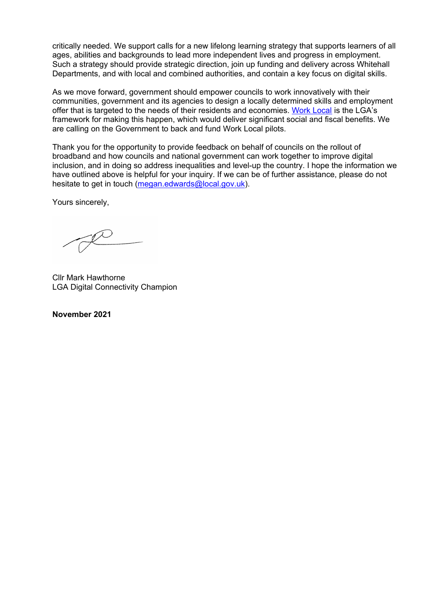critically needed. We support calls for a new lifelong learning strategy that supports learners of all ages, abilities and backgrounds to lead more independent lives and progress in employment. Such a strategy should provide strategic direction, join up funding and delivery across Whitehall Departments, and with local and combined authorities, and contain a key focus on digital skills.

As we move forward, government should empower councils to work innovatively with their communities, government and its agencies to design a locally determine[d](https://www.local.gov.uk/topics/employment-and-skills/work-local) skills and employment offer that is targeted to the needs of their residents and economies. [Work](https://www.local.gov.uk/topics/employment-and-skills/work-local) [Local](https://www.local.gov.uk/topics/employment-and-skills/work-local) is the LGA's framework for making this happen, which would deliver significant social and fiscal benefits. We are calling on the Government to back and fund Work Local pilots.

Thank you for the opportunity to provide feedback on behalf of councils on the rollout of broadband and how councils and national government can work together to improve digital inclusion, and in doing so address inequalities and level-up the country. I hope the information we have outlined above is helpful for your inquiry. If we can be of further assistance, please do not hesitate to get in touch [\(megan.edwards@local.gov.uk\)](mailto:megan.edwards@local.gov.uk).

Yours sincerely,

Cllr Mark Hawthorne LGA Digital Connectivity Champion

**November 2021**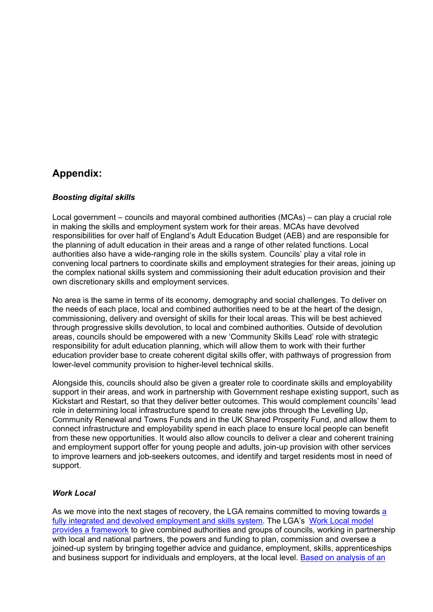# **Appendix:**

#### *Boosting digital skills*

Local government – councils and mayoral combined authorities (MCAs) – can play a crucial role in making the skills and employment system work for their areas. MCAs have devolved responsibilities for over half of England's Adult Education Budget (AEB) and are responsible for the planning of adult education in their areas and a range of other related functions. Local authorities also have a wide-ranging role in the skills system. Councils' play a vital role in convening local partners to coordinate skills and employment strategies for their areas, joining up the complex national skills system and commissioning their adult education provision and their own discretionary skills and employment services.

No area is the same in terms of its economy, demography and social challenges. To deliver on the needs of each place, local and combined authorities need to be at the heart of the design, commissioning, delivery and oversight of skills for their local areas. This will be best achieved through progressive skills devolution, to local and combined authorities. Outside of devolution areas, councils should be empowered with a new 'Community Skills Lead' role with strategic responsibility for adult education planning, which will allow them to work with their further education provider base to create coherent digital skills offer, with pathways of progression from lower-level community provision to higher-level technical skills.

Alongside this, councils should also be given a greater role to coordinate skills and employability support in their areas, and work in partnership with Government reshape existing support, such as Kickstart and Restart, so that they deliver better outcomes. This would complement councils' lead role in determining local infrastructure spend to create new jobs through the Levelling Up, Community Renewal and Towns Funds and in the UK Shared Prosperity Fund, and allow them to connect infrastructure and employability spend in each place to ensure local people can benefit from these new opportunities. It would also allow councils to deliver a clear and coherent training and employment support offer for young people and adults, join-up provision with other services to improve learners and job-seekers outcomes, and identify and target residents most in need of support.

#### *Work Local*

As we move into the next stages of recovery, the LGA remains committed to moving towards [a](https://www.local.gov.uk/topics/employment-and-skills/work-local) [fully](https://www.local.gov.uk/topics/employment-and-skills/work-local) [integrated](https://www.local.gov.uk/topics/employment-and-skills/work-local) [and](https://www.local.gov.uk/topics/employment-and-skills/work-local) [devolved](https://www.local.gov.uk/topics/employment-and-skills/work-local) [employment](https://www.local.gov.uk/topics/employment-and-skills/work-local) [and](https://www.local.gov.uk/topics/employment-and-skills/work-local) [skills](https://www.local.gov.uk/topics/employment-and-skills/work-local) [system](https://www.local.gov.uk/topics/employment-and-skills/work-local). The LGA's [Work](https://local.gov.uk/publications/work-local-making-our-vision-reality) [Local](https://local.gov.uk/publications/work-local-making-our-vision-reality) [model](https://local.gov.uk/publications/work-local-making-our-vision-reality) [provides](https://local.gov.uk/publications/work-local-making-our-vision-reality) [a](https://local.gov.uk/publications/work-local-making-our-vision-reality) [framework](https://local.gov.uk/publications/work-local-making-our-vision-reality) to give combined authorities and groups of councils, working in partnership with local and national partners, the powers and funding to plan, commission and oversee a joined-up system by bringing together advice and guidance, employment, skills, apprenticeships and business support for individuals and employers, at the local level. [Based](https://local.gov.uk/publications/work-local-making-our-vision-reality) [on](https://local.gov.uk/publications/work-local-making-our-vision-reality) [analysis](https://local.gov.uk/publications/work-local-making-our-vision-reality) [of](https://local.gov.uk/publications/work-local-making-our-vision-reality) [an](https://local.gov.uk/publications/work-local-making-our-vision-reality)